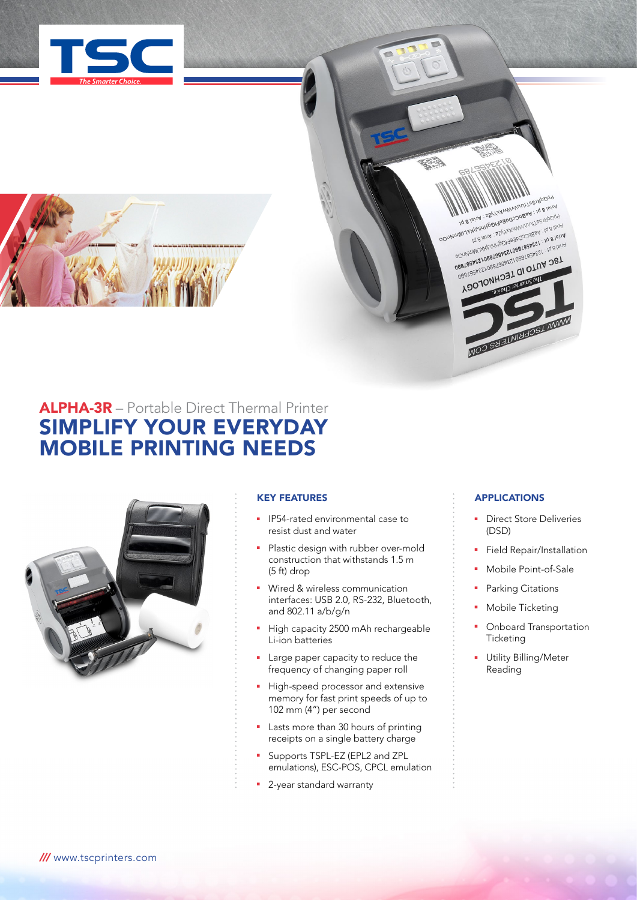

# ALPHA-3R – Portable Direct Thermal Printer SIMPLIFY YOUR EVERYDAY MOBILE PRINTING NEEDS



# KEY FEATURES

- **•** IP54-rated environmental case to resist dust and water
- Plastic design with rubber over-mold construction that withstands 1.5 m (5 ft) drop
- **Nired & wireless communication** interfaces: USB 2.0, RS-232, Bluetooth, and 802.11 a/b/g/n
- High capacity 2500 mAh rechargeable Li-ion batteries
- Large paper capacity to reduce the frequency of changing paper roll
- High-speed processor and extensive memory for fast print speeds of up to 102 mm (4") per second
- **E** Lasts more than 30 hours of printing receipts on a single battery charge
- Supports TSPL-EZ (EPL2 and ZPL emulations), ESC-POS, CPCL emulation
- **2**-year standard warranty

# APPLICATIONS

**A B ISINAL PROPRIATION AND INCORPORATION** POUNDINTRY (THE COLLEGE OF SPECIAL SERVICE OF SPECIAL SERVICE OF SPECIAL SERVICE OF SPECIAL SERVICE OF SPECIAL SERVICE OF SPECIAL SERVICE OF SPECIAL SERVICE OF SPECIAL SERVICE OF SPECIAL SERVICE OF SPECIAL SERVICE OF SPECI **INTERNATIONAL SERVICES** OOUNIMATIVATION APPROVABLE PROGRESS CONTINUES AND DRIVE CONTINUES AND DRIVE CONTINUES AND DRIVE CONTINUES AND DRIVE CONTINUES AND CONTINUES AND CONTINUES AND CONTINUES AND CONTINUES AND CONTINUES AND CONTINUES AND CONTINUE **ORAIGHALOGIST - 11 DIUM DETAINMENT CONTRACT CONTRACT CONTRACT CONTRACT CONTRACT CONTRACT CONTRACT CONTRACT CONTRACT CONTRACT CONTRACT CONTRACT CONTRACT CONTRACT CONTRACT CONTRACT CONTRACT CONTRACT CONTRACT CONTRACT CONTRA OesiSabestopeTapeST OF OPTIMARY** ADOJONHOST WIRDEN AND ALSO AND AND A

NOO SHEINING OS I MANY

- **Direct Store Deliveries** (DSD)
- Field Repair/Installation
- **Nobile Point-of-Sale**
- Parking Citations
- Mobile Ticketing
- Onboard Transportation **Ticketing**
- **-** Utility Billing/Meter Reading